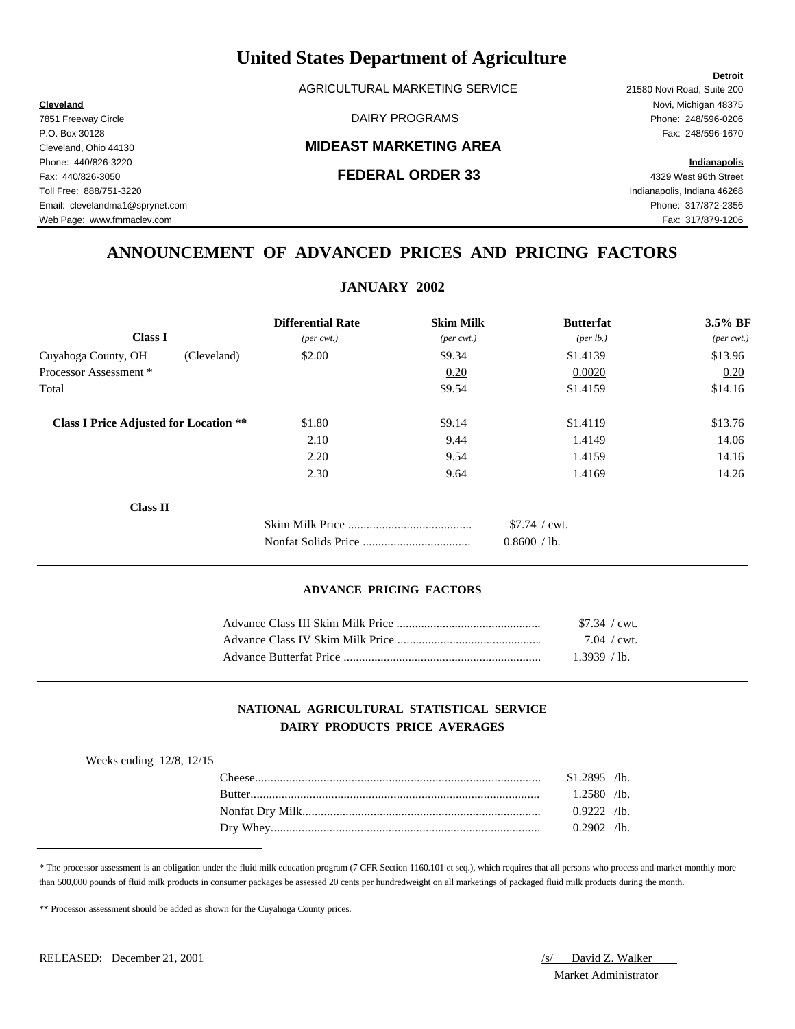AGRICULTURAL MARKETING SERVICE 21580 Novi Road, Suite 200

### Cleveland, Ohio 44130 **MIDEAST MARKETING AREA**

**Cleveland** Novi, Michigan 48375 7851 Freeway Circle DAIRY PROGRAMS Phone: 248/596-0206

Web Page: www.fmmaclev.com exercise www.fmmaclev.com Fax: 317/879-1206

## **ANNOUNCEMENT OF ADVANCED PRICES AND PRICING FACTORS**

|                                               | <b>Differential Rate</b>    | <b>Skim Milk</b>             | <b>Butterfat</b> | 3.5% BF    |
|-----------------------------------------------|-----------------------------|------------------------------|------------------|------------|
| <b>Class I</b>                                | $(\text{per} \text{ cwt.})$ | $(\text{per} \ \text{cvt.})$ | (per lb.)        | $(per\,\,$ |
| Cuyahoga County, OH<br>(Cleveland)            | \$2.00                      | \$9.34                       | \$1.4139         | \$13.96    |
| Processor Assessment *                        |                             | 0.20                         | 0.0020           | 0.20       |
| Total                                         |                             | \$9.54                       | \$1.4159         | \$14.16    |
| <b>Class I Price Adjusted for Location **</b> | \$1.80                      | \$9.14                       | \$1.4119         | \$13.76    |
|                                               | 2.10                        | 9.44                         | 1.4149           | 14.06      |
|                                               | 2.20                        | 9.54                         | 1.4159           | 14.16      |
|                                               | 2.30                        | 9.64                         | 1.4169           | 14.26      |
| <b>Class II</b>                               |                             |                              |                  |            |
|                                               |                             |                              | \$7.74 / cwt.    |            |
|                                               |                             |                              | 0.8600 / lb.     |            |
|                                               |                             |                              |                  |            |

### **ADVANCE PRICING FACTORS**

|                         | $$7.34$ / cwt.        |  |
|-------------------------|-----------------------|--|
|                         | $7.04 / \text{cwt}$ . |  |
| Advance Butterfat Price | 1.3939 / lb.          |  |

### **NATIONAL AGRICULTURAL STATISTICAL SERVICE DAIRY PRODUCTS PRICE AVERAGES**

| Weeks ending $12/8$ , $12/15$ |               |                |  |
|-------------------------------|---------------|----------------|--|
|                               | 'heese'       | $$1.2895$ /lb. |  |
|                               | <b>Rutter</b> | 1.2580 /lb.    |  |
|                               |               | $0.9222$ /lb.  |  |
|                               |               | $0.2902$ /lb.  |  |
|                               |               |                |  |

\* The processor assessment is an obligation under the fluid milk education program (7 CFR Section 1160.101 et seq.), which requires that all persons who process and market monthly more than 500,000 pounds of fluid milk products in consumer packages be assessed 20 cents per hundredweight on all marketings of packaged fluid milk products during the month.

\*\* Processor assessment should be added as shown for the Cuyahoga County prices.

Market Administrator

### **Detroit**

P.O. Box 30128 Fax: 248/596-1670 Phone: 440/826-3220 **Indianapolis** Fax: 440/826-3050 **FEDERAL ORDER 33** 4329 West 96th Street Toll Free: 888/751-3220 Indianapolis, Indiana 46268 Email: clevelandma1@sprynet.com Phone: 317/872-2356

## **JANUARY 2002**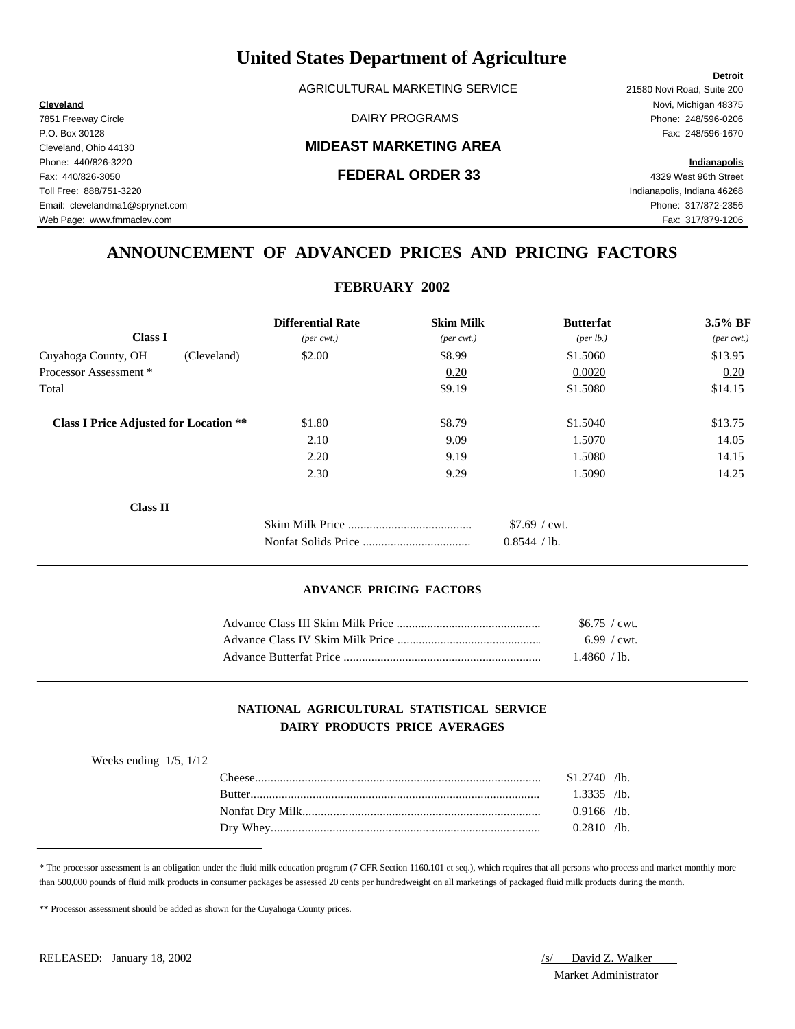AGRICULTURAL MARKETING SERVICE 21580 Novi Road, Suite 200

### Cleveland, Ohio 44130 **MIDEAST MARKETING AREA**

**Cleveland** Novi, Michigan 48375 7851 Freeway Circle DAIRY PROGRAMS Phone: 248/596-0206

Web Page: www.fmmaclev.com exercise www.fmmaclev.com Fax: 317/879-1206

## **ANNOUNCEMENT OF ADVANCED PRICES AND PRICING FACTORS**

**FEBRUARY 2002**

| 1.00                                          |             |                             |                              |                      |                             |
|-----------------------------------------------|-------------|-----------------------------|------------------------------|----------------------|-----------------------------|
|                                               |             | <b>Differential Rate</b>    | <b>Skim Milk</b>             | <b>Butterfat</b>     | 3.5% BF                     |
| <b>Class I</b>                                |             | $(\text{per} \text{ cwt.})$ | $(\text{per} \ \text{cvt.})$ | ${\rm (per \, lb.)}$ | $(\text{per} \text{ cwt.})$ |
| Cuyahoga County, OH                           | (Cleveland) | \$2.00                      | \$8.99                       | \$1.5060             | \$13.95                     |
| Processor Assessment *                        |             |                             | 0.20                         | 0.0020               | 0.20                        |
| Total                                         |             |                             | \$9.19                       | \$1.5080             | \$14.15                     |
| <b>Class I Price Adjusted for Location **</b> |             | \$1.80                      | \$8.79                       | \$1.5040             | \$13.75                     |
|                                               |             | 2.10                        | 9.09                         | 1.5070               | 14.05                       |
|                                               |             | 2.20                        | 9.19                         | 1.5080               | 14.15                       |
|                                               |             | 2.30                        | 9.29                         | 1.5090               | 14.25                       |
| <b>Class II</b>                               |             |                             |                              |                      |                             |
|                                               |             |                             |                              | $$7.69 /$ cwt.       |                             |
|                                               |             |                             |                              | 0.8544 / lb.         |                             |

### **ADVANCE PRICING FACTORS**

|                         | $$6.75$ / cwt.        |  |
|-------------------------|-----------------------|--|
|                         | $6.99 / \text{cwt}$ . |  |
| Advance Butterfat Price | 1.4860 / lb.          |  |

### **NATIONAL AGRICULTURAL STATISTICAL SERVICE DAIRY PRODUCTS PRICE AVERAGES**

| Weeks ending $1/5$ , $1/12$ |                |  |
|-----------------------------|----------------|--|
|                             | $$1.2740$ /lb. |  |
|                             | $1.3335$ /lb.  |  |
|                             | $0.9166$ /lb.  |  |
|                             | $0.2810$ /lb.  |  |

\* The processor assessment is an obligation under the fluid milk education program (7 CFR Section 1160.101 et seq.), which requires that all persons who process and market monthly more than 500,000 pounds of fluid milk products in consumer packages be assessed 20 cents per hundredweight on all marketings of packaged fluid milk products during the month.

\*\* Processor assessment should be added as shown for the Cuyahoga County prices.

Market Administrator

### **Detroit**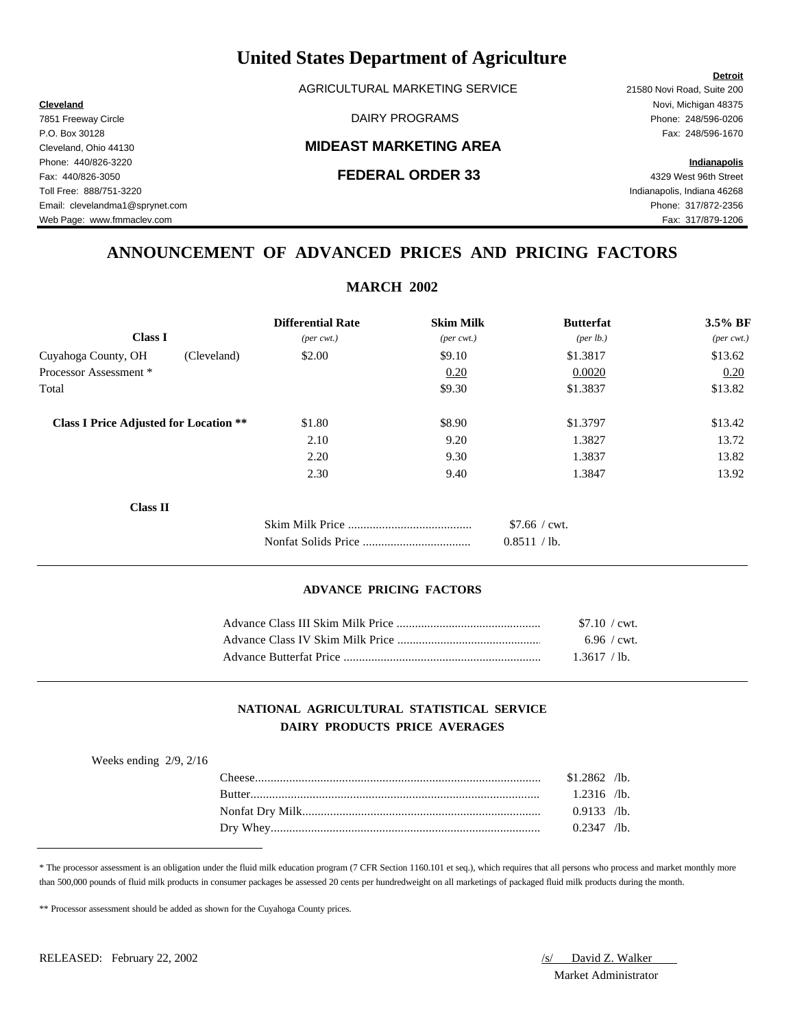AGRICULTURAL MARKETING SERVICE 21580 Novi Road, Suite 200

### Cleveland, Ohio 44130 **MIDEAST MARKETING AREA**

**Cleveland** Novi, Michigan 48375 7851 Freeway Circle DAIRY PROGRAMS Phone: 248/596-0206

**Detroit**

Web Page: www.fmmaclev.com exercise www.fmmaclev.com Fax: 317/879-1206

## **ANNOUNCEMENT OF ADVANCED PRICES AND PRICING FACTORS**

| <b>MARCH 2002</b>                             |                             |                              |                      |                             |
|-----------------------------------------------|-----------------------------|------------------------------|----------------------|-----------------------------|
|                                               | <b>Differential Rate</b>    | <b>Skim Milk</b>             | <b>Butterfat</b>     | 3.5% BF                     |
| <b>Class I</b>                                | $(\text{per} \text{ cwt.})$ | $(\text{per} \ \text{cvt.})$ | ${\rm (per \, lb.)}$ | $(\text{per} \text{ cwt.})$ |
| Cuyahoga County, OH<br>(Cleveland)            | \$2.00                      | \$9.10                       | \$1.3817             | \$13.62                     |
| Processor Assessment *                        |                             | 0.20                         | 0.0020               | 0.20                        |
| Total                                         |                             | \$9.30                       | \$1.3837             | \$13.82                     |
| <b>Class I Price Adjusted for Location **</b> | \$1.80                      | \$8.90                       | \$1.3797             | \$13.42                     |
|                                               | 2.10                        | 9.20                         | 1.3827               | 13.72                       |
|                                               | 2.20                        | 9.30                         | 1.3837               | 13.82                       |
|                                               | 2.30                        | 9.40                         | 1.3847               | 13.92                       |
| <b>Class II</b>                               |                             |                              |                      |                             |
|                                               |                             |                              | \$7.66 / cwt.        |                             |
|                                               |                             |                              | 0.8511 / lb.         |                             |

### **ADVANCE PRICING FACTORS**

| \$7.10 / cwt.         |  |
|-----------------------|--|
| $6.96 / \text{cwt}$ . |  |
| 1.3617 / lb.          |  |

### **NATIONAL AGRICULTURAL STATISTICAL SERVICE DAIRY PRODUCTS PRICE AVERAGES**

| $$1.2862$ /lb.<br>l `heese -<br><b>Rutter</b> |               |
|-----------------------------------------------|---------------|
|                                               |               |
|                                               | $1.2316$ /lb. |
|                                               | $0.9133$ /lb. |
|                                               | $0.2347$ /lb. |

\* The processor assessment is an obligation under the fluid milk education program (7 CFR Section 1160.101 et seq.), which requires that all persons who process and market monthly more than 500,000 pounds of fluid milk products in consumer packages be assessed 20 cents per hundredweight on all marketings of packaged fluid milk products during the month.

\*\* Processor assessment should be added as shown for the Cuyahoga County prices.

Market Administrator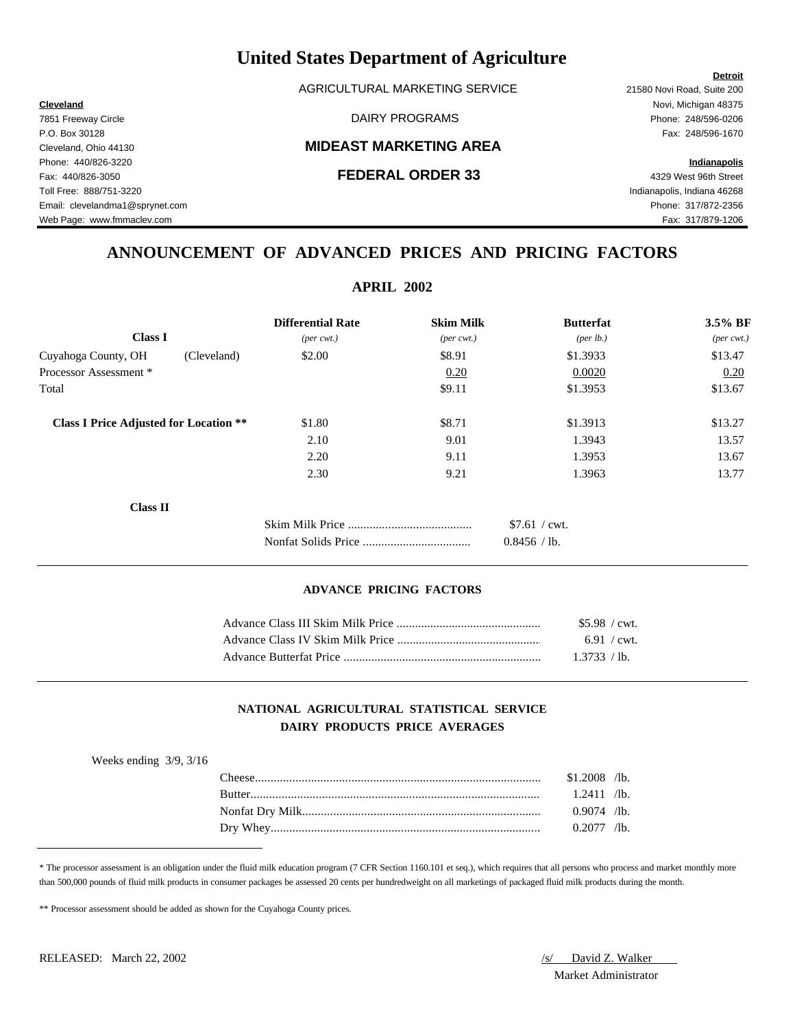AGRICULTURAL MARKETING SERVICE 21580 Novi Road, Suite 200

### Cleveland, Ohio 44130 **MIDEAST MARKETING AREA**

**Cleveland** Novi, Michigan 48375 7851 Freeway Circle DAIRY PROGRAMS Phone: 248/596-0206

**Detroit**

Web Page: www.fmmaclev.com exercise www.fmmaclev.com Fax: 317/879-1206

## **ANNOUNCEMENT OF ADVANCED PRICES AND PRICING FACTORS**

| <b>APRIL 2002</b>                             |                             |                              |                  |                             |
|-----------------------------------------------|-----------------------------|------------------------------|------------------|-----------------------------|
|                                               | <b>Differential Rate</b>    | <b>Skim Milk</b>             | <b>Butterfat</b> | 3.5% BF                     |
| <b>Class I</b>                                | $(\text{per} \text{ cwt.})$ | $(\text{per} \ \text{cvt.})$ | (per lb.)        | $(\text{per} \text{ cwt.})$ |
| Cuyahoga County, OH<br>(Cleveland)            | \$2.00                      | \$8.91                       | \$1.3933         | \$13.47                     |
| Processor Assessment *                        |                             | 0.20                         | 0.0020           | 0.20                        |
| Total                                         |                             | \$9.11                       | \$1.3953         | \$13.67                     |
| <b>Class I Price Adjusted for Location **</b> | \$1.80                      | \$8.71                       | \$1.3913         | \$13.27                     |
|                                               | 2.10                        | 9.01                         | 1.3943           | 13.57                       |
|                                               | 2.20                        | 9.11                         | 1.3953           | 13.67                       |
|                                               | 2.30                        | 9.21                         | 1.3963           | 13.77                       |
| <b>Class II</b>                               |                             |                              |                  |                             |
|                                               |                             |                              | \$7.61 / cwt.    |                             |
|                                               |                             |                              | 0.8456 / lb.     |                             |

### **ADVANCE PRICING FACTORS**

| $$5.98 / \text{cwt}$ . |  |
|------------------------|--|
| $6.91 / \text{cwt}$    |  |
| 1.3733 / lb.           |  |

### **NATIONAL AGRICULTURAL STATISTICAL SERVICE DAIRY PRODUCTS PRICE AVERAGES**

| $$1.2008$ /lb.<br>$1.2411$ /lb. | Weeks ending $3/9$ , $3/16$ |               |  |
|---------------------------------|-----------------------------|---------------|--|
|                                 |                             |               |  |
|                                 |                             |               |  |
|                                 |                             | $0.9074$ /lb. |  |
| $0.2077$ /lb.                   |                             |               |  |

\* The processor assessment is an obligation under the fluid milk education program (7 CFR Section 1160.101 et seq.), which requires that all persons who process and market monthly more than 500,000 pounds of fluid milk products in consumer packages be assessed 20 cents per hundredweight on all marketings of packaged fluid milk products during the month.

\*\* Processor assessment should be added as shown for the Cuyahoga County prices.

Market Administrator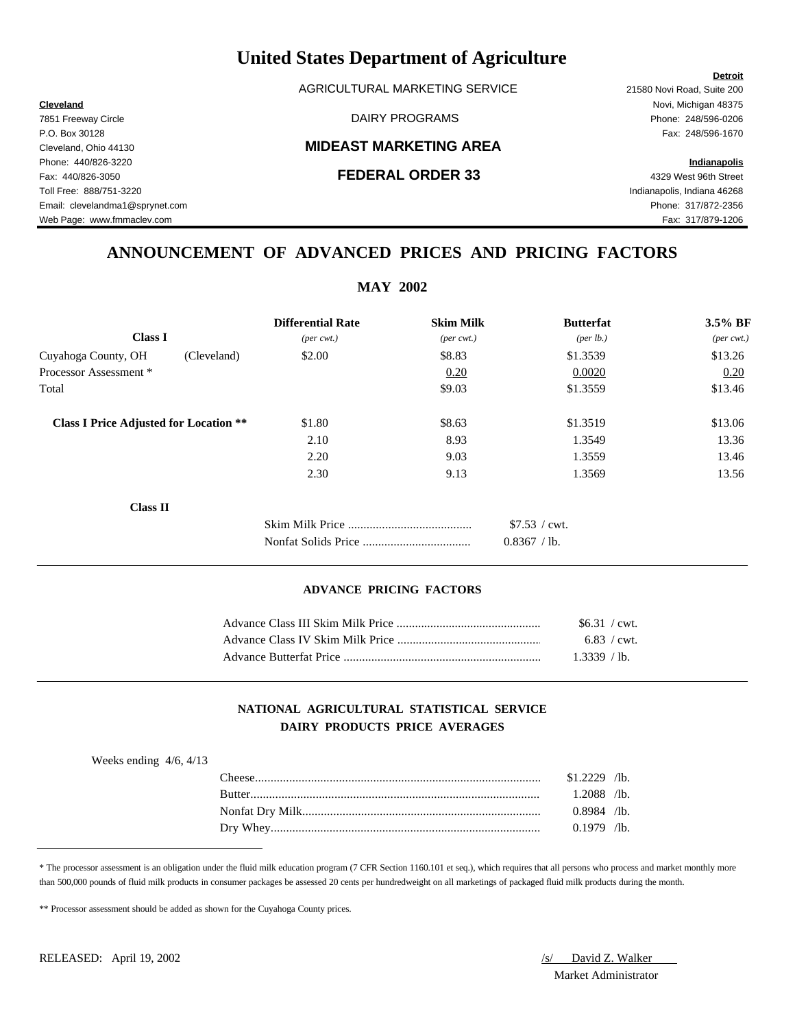AGRICULTURAL MARKETING SERVICE 21580 Novi Road, Suite 200

### Cleveland, Ohio 44130 **MIDEAST MARKETING AREA**

**Cleveland** Novi, Michigan 48375 7851 Freeway Circle DAIRY PROGRAMS Phone: 248/596-0206

**Detroit**

## **ANNOUNCEMENT OF ADVANCED PRICES AND PRICING FACTORS**

**MAY 2002** 

|                                               | $NIAY$ $2002$               |                              |                      |                             |
|-----------------------------------------------|-----------------------------|------------------------------|----------------------|-----------------------------|
|                                               | <b>Differential Rate</b>    | <b>Skim Milk</b>             | <b>Butterfat</b>     | 3.5% BF                     |
| <b>Class I</b>                                | $(\text{per} \text{ cwt.})$ | $(\text{per} \ \text{cvt.})$ | ${\rm (per \, lb.)}$ | $(\text{per} \text{ cwt.})$ |
| Cuyahoga County, OH<br>(Cleveland)            | \$2.00                      | \$8.83                       | \$1.3539             | \$13.26                     |
| Processor Assessment *                        |                             | 0.20                         | 0.0020               | 0.20                        |
| Total                                         |                             | \$9.03                       | \$1.3559             | \$13.46                     |
| <b>Class I Price Adjusted for Location **</b> | \$1.80                      | \$8.63                       | \$1.3519             | \$13.06                     |
|                                               | 2.10                        | 8.93                         | 1.3549               | 13.36                       |
|                                               | 2.20                        | 9.03                         | 1.3559               | 13.46                       |
|                                               | 2.30                        | 9.13                         | 1.3569               | 13.56                       |
| <b>Class II</b>                               |                             |                              |                      |                             |
|                                               |                             |                              | \$7.53 / cwt.        |                             |
|                                               |                             |                              | 0.8367 / lb.         |                             |

### **ADVANCE PRICING FACTORS**

| $$6.31$ / cwt. |  |
|----------------|--|
| 6.83 / $cwt$ . |  |
| 1.3339 / lb.   |  |

### **NATIONAL AGRICULTURAL STATISTICAL SERVICE DAIRY PRODUCTS PRICE AVERAGES**

| $$1.2229$ /lb.<br>' heese<br>$1.2088$ /lb.<br><b>Butter</b><br>$0.8984$ /lb.<br>$0.1979$ /lb. | Weeks ending $4/6$ , $4/13$ |  |  |
|-----------------------------------------------------------------------------------------------|-----------------------------|--|--|
|                                                                                               |                             |  |  |
|                                                                                               |                             |  |  |
|                                                                                               |                             |  |  |
|                                                                                               |                             |  |  |

\* The processor assessment is an obligation under the fluid milk education program (7 CFR Section 1160.101 et seq.), which requires that all persons who process and market monthly more than 500,000 pounds of fluid milk products in consumer packages be assessed 20 cents per hundredweight on all marketings of packaged fluid milk products during the month.

\*\* Processor assessment should be added as shown for the Cuyahoga County prices.

Market Administrator

## P.O. Box 30128 Fax: 248/596-1670 Phone: 440/826-3220 **Indianapolis** Fax: 440/826-3050 **FEDERAL ORDER 33** 4329 West 96th Street Toll Free: 888/751-3220 Indianapolis, Indiana 46268 Email: clevelandma1@sprynet.com Phone: 317/872-2356 Web Page: www.fmmaclev.com Fax: 317/879-1206

RELEASED: April 19, 2002 *S/ David Z. Walker*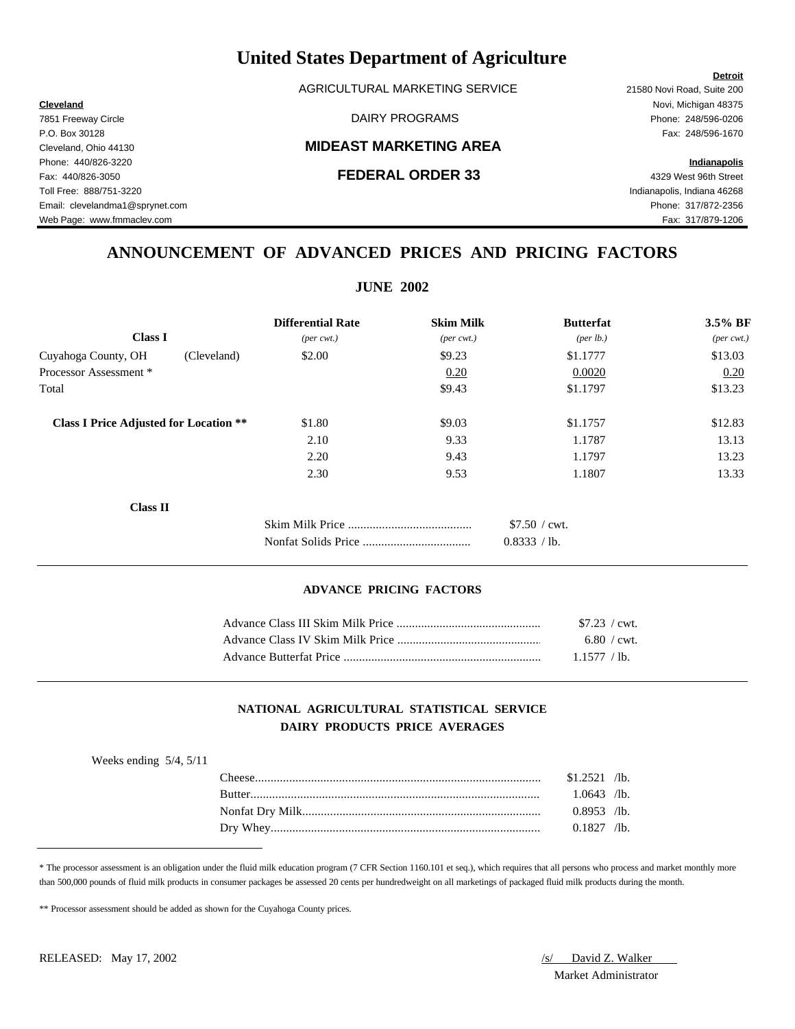AGRICULTURAL MARKETING SERVICE 21580 Novi Road, Suite 200

### Cleveland, Ohio 44130 **MIDEAST MARKETING AREA**

**Cleveland** Novi, Michigan 48375 7851 Freeway Circle DAIRY PROGRAMS Phone: 248/596-0206

## **ANNOUNCEMENT OF ADVANCED PRICES AND PRICING FACTORS**

**JUNE 2002** 

| <b>Differential Rate</b>    | <b>Skim Milk</b>            | <b>Butterfat</b>   | 3.5% BF                     |
|-----------------------------|-----------------------------|--------------------|-----------------------------|
| $(\text{per} \text{ cwt.})$ | $(\text{per} \text{ cwt.})$ | $(\text{per lb.})$ | $(\text{per} \text{ cwt.})$ |
| \$2.00                      | \$9.23                      | \$1.1777           | \$13.03                     |
|                             | 0.20                        | 0.0020             | 0.20                        |
|                             | \$9.43                      | \$1.1797           | \$13.23                     |
| \$1.80                      | \$9.03                      | \$1.1757           | \$12.83                     |
| 2.10                        | 9.33                        | 1.1787             | 13.13                       |
| 2.20                        | 9.43                        | 1.1797             | 13.23                       |
| 2.30                        | 9.53                        | 1.1807             | 13.33                       |
|                             |                             |                    |                             |
|                             |                             | \$7.50 / cwt.      |                             |
|                             |                             | 0.8333 / lb.       |                             |
|                             |                             | JUNE <i>2</i> 002  |                             |

### **ADVANCE PRICING FACTORS**

| $$7.23$ / cwt.        |  |
|-----------------------|--|
| $6.80 / \text{cwt}$ . |  |
| 1.1577 / lb.          |  |

### **NATIONAL AGRICULTURAL STATISTICAL SERVICE DAIRY PRODUCTS PRICE AVERAGES**

| Weeks ending $5/4$ , $5/11$ |                |  |
|-----------------------------|----------------|--|
|                             | $$1.2521$ /lb. |  |
|                             | $1.0643$ /lb.  |  |
|                             | $0.8953$ /lb.  |  |
|                             | $0.1827$ /lb.  |  |

\* The processor assessment is an obligation under the fluid milk education program (7 CFR Section 1160.101 et seq.), which requires that all persons who process and market monthly more than 500,000 pounds of fluid milk products in consumer packages be assessed 20 cents per hundredweight on all marketings of packaged fluid milk products during the month.

\*\* Processor assessment should be added as shown for the Cuyahoga County prices.

# Market Administrator

### **Detroit**

P.O. Box 30128 Fax: 248/596-1670 Phone: 440/826-3220 **Indianapolis** Fax: 440/826-3050 **FEDERAL ORDER 33** 4329 West 96th Street Toll Free: 888/751-3220 Indianapolis, Indiana 46268 Email: clevelandma1@sprynet.com Phone: 317/872-2356 Web Page: www.fmmaclev.com exercise www.fmmaclev.com Fax: 317/879-1206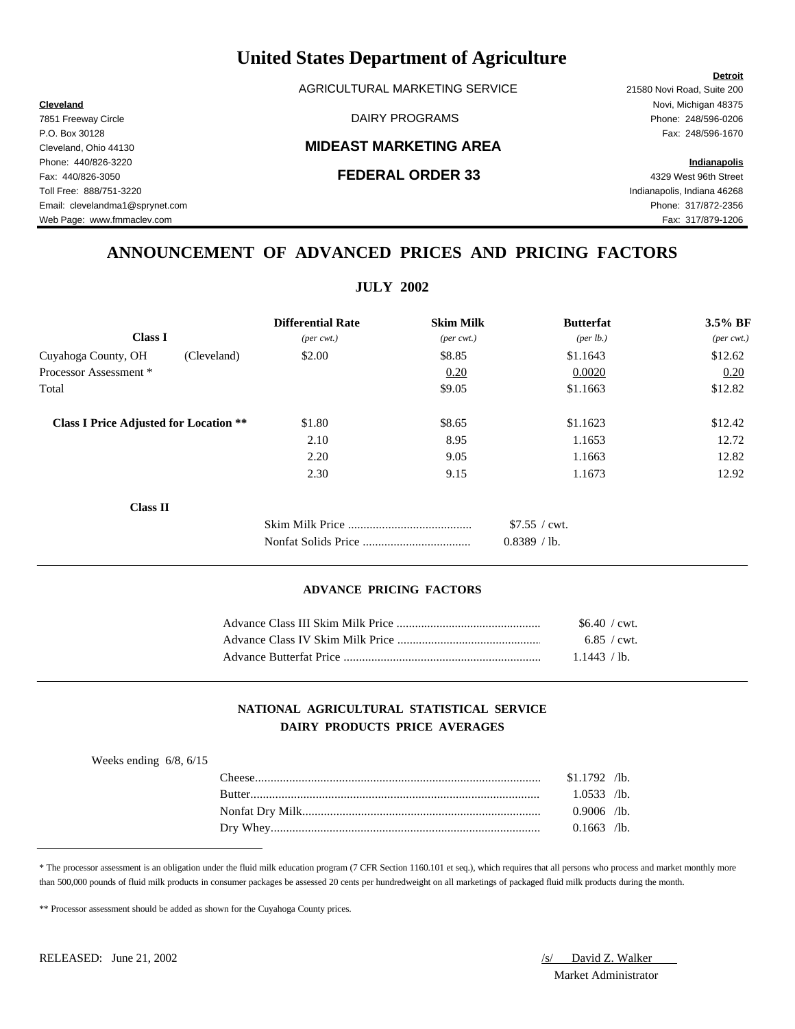AGRICULTURAL MARKETING SERVICE 21580 Novi Road, Suite 200

### Cleveland, Ohio 44130 **MIDEAST MARKETING AREA**

**Cleveland** Novi, Michigan 48375 7851 Freeway Circle DAIRY PROGRAMS Phone: 248/596-0206

## **ANNOUNCEMENT OF ADVANCED PRICES AND PRICING FACTORS**

**JULY 2002** 

|                                               | JULI <i>4</i> 004           |                              |                  |                     |
|-----------------------------------------------|-----------------------------|------------------------------|------------------|---------------------|
|                                               | <b>Differential Rate</b>    | <b>Skim Milk</b>             | <b>Butterfat</b> | 3.5% BF             |
| <b>Class I</b>                                | $(\text{per} \text{ cwt.})$ | $(\text{per} \ \text{cvt.})$ | (per lb.)        | $(\text{per cwt.})$ |
| Cuyahoga County, OH<br>(Cleveland)            | \$2.00                      | \$8.85                       | \$1.1643         | \$12.62             |
| Processor Assessment *                        |                             | 0.20                         | 0.0020           | 0.20                |
| Total                                         |                             | \$9.05                       | \$1.1663         | \$12.82             |
| <b>Class I Price Adjusted for Location **</b> | \$1.80                      | \$8.65                       | \$1.1623         | \$12.42             |
|                                               | 2.10                        | 8.95                         | 1.1653           | 12.72               |
|                                               | 2.20                        | 9.05                         | 1.1663           | 12.82               |
|                                               | 2.30                        | 9.15                         | 1.1673           | 12.92               |
| <b>Class II</b>                               |                             |                              |                  |                     |
|                                               |                             |                              | \$7.55 / cwt.    |                     |
|                                               |                             |                              | 0.8389 / lb.     |                     |

### **ADVANCE PRICING FACTORS**

| $$6.40$ / cwt. |  |
|----------------|--|
| 6.85 / $cwt$ . |  |
| 1.1443 / lb.   |  |

### **NATIONAL AGRICULTURAL STATISTICAL SERVICE DAIRY PRODUCTS PRICE AVERAGES**

| Weeks ending $6/8$ , $6/15$ |               |                |  |
|-----------------------------|---------------|----------------|--|
|                             | 'heese'       | $$1.1792$ /lb. |  |
|                             | <b>Rutter</b> | $1.0533$ /lb.  |  |
|                             |               | $0.9006$ /lb.  |  |
|                             |               | $0.1663$ /lb.  |  |
|                             |               |                |  |

\* The processor assessment is an obligation under the fluid milk education program (7 CFR Section 1160.101 et seq.), which requires that all persons who process and market monthly more than 500,000 pounds of fluid milk products in consumer packages be assessed 20 cents per hundredweight on all marketings of packaged fluid milk products during the month.

\*\* Processor assessment should be added as shown for the Cuyahoga County prices.

Market Administrator

### **Detroit**

P.O. Box 30128 Fax: 248/596-1670 Phone: 440/826-3220 **Indianapolis** Fax: 440/826-3050 **FEDERAL ORDER 33** 4329 West 96th Street Toll Free: 888/751-3220 Indianapolis, Indiana 46268 Email: clevelandma1@sprynet.com Phone: 317/872-2356

Web Page: www.fmmaclev.com exercise www.fmmaclev.com Fax: 317/879-1206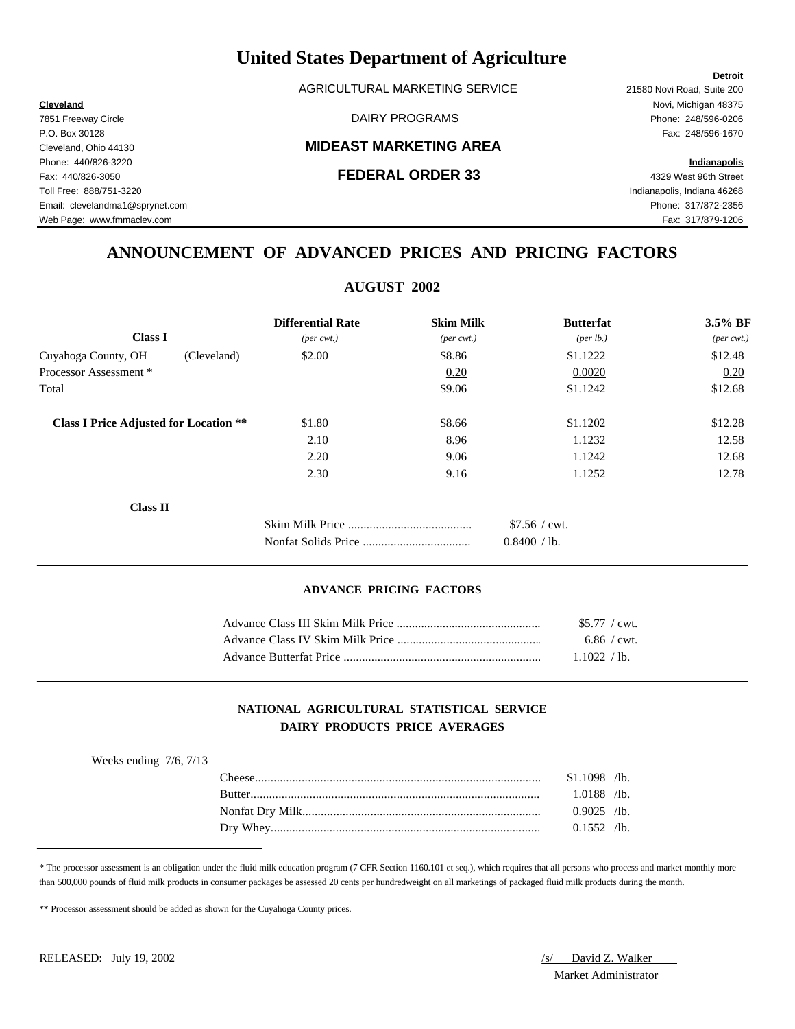AGRICULTURAL MARKETING SERVICE 21580 Novi Road, Suite 200

### Cleveland, Ohio 44130 **MIDEAST MARKETING AREA**

**Cleveland** Novi, Michigan 48375 7851 Freeway Circle DAIRY PROGRAMS Phone: 248/596-0206

**Detroit**

Web Page: www.fmmaclev.com exercise www.fmmaclev.com Fax: 317/879-1206

## **ANNOUNCEMENT OF ADVANCED PRICES AND PRICING FACTORS**

|                                               | <b>AUGUST 2002</b>          |                              |                  |                             |
|-----------------------------------------------|-----------------------------|------------------------------|------------------|-----------------------------|
|                                               | <b>Differential Rate</b>    | <b>Skim Milk</b>             | <b>Butterfat</b> | 3.5% BF                     |
| <b>Class I</b>                                | $(\text{per} \text{ cwt.})$ | $(\text{per} \ \text{cvt.})$ | (per lb.)        | $(\text{per} \text{ cwt.})$ |
| Cuyahoga County, OH<br>(Cleveland)            | \$2.00                      | \$8.86                       | \$1.1222         | \$12.48                     |
| Processor Assessment *                        |                             | 0.20                         | 0.0020           | 0.20                        |
| Total                                         |                             | \$9.06                       | \$1.1242         | \$12.68                     |
| <b>Class I Price Adjusted for Location **</b> | \$1.80                      | \$8.66                       | \$1.1202         | \$12.28                     |
|                                               | 2.10                        | 8.96                         | 1.1232           | 12.58                       |
|                                               | 2.20                        | 9.06                         | 1.1242           | 12.68                       |
|                                               | 2.30                        | 9.16                         | 1.1252           | 12.78                       |
| <b>Class II</b>                               |                             |                              |                  |                             |
|                                               |                             |                              | $$7.56 /$ cwt.   |                             |
|                                               |                             |                              | 0.8400 / lb.     |                             |

### **ADVANCE PRICING FACTORS**

| $$5.77$ / cwt.        |  |
|-----------------------|--|
| $6.86 / \text{cwt}$ . |  |
| 1.1022 / lb.          |  |

### **NATIONAL AGRICULTURAL STATISTICAL SERVICE DAIRY PRODUCTS PRICE AVERAGES**

| Weeks ending $7/6$ , $7/13$ |               |                |
|-----------------------------|---------------|----------------|
|                             |               | $$1.1098$ /lb. |
|                             | <b>Butter</b> | $1.0188$ /lb.  |
|                             |               | $0.9025$ /lb.  |
|                             |               | $0.1552$ /lb.  |

\* The processor assessment is an obligation under the fluid milk education program (7 CFR Section 1160.101 et seq.), which requires that all persons who process and market monthly more than 500,000 pounds of fluid milk products in consumer packages be assessed 20 cents per hundredweight on all marketings of packaged fluid milk products during the month.

\*\* Processor assessment should be added as shown for the Cuyahoga County prices.

Market Administrator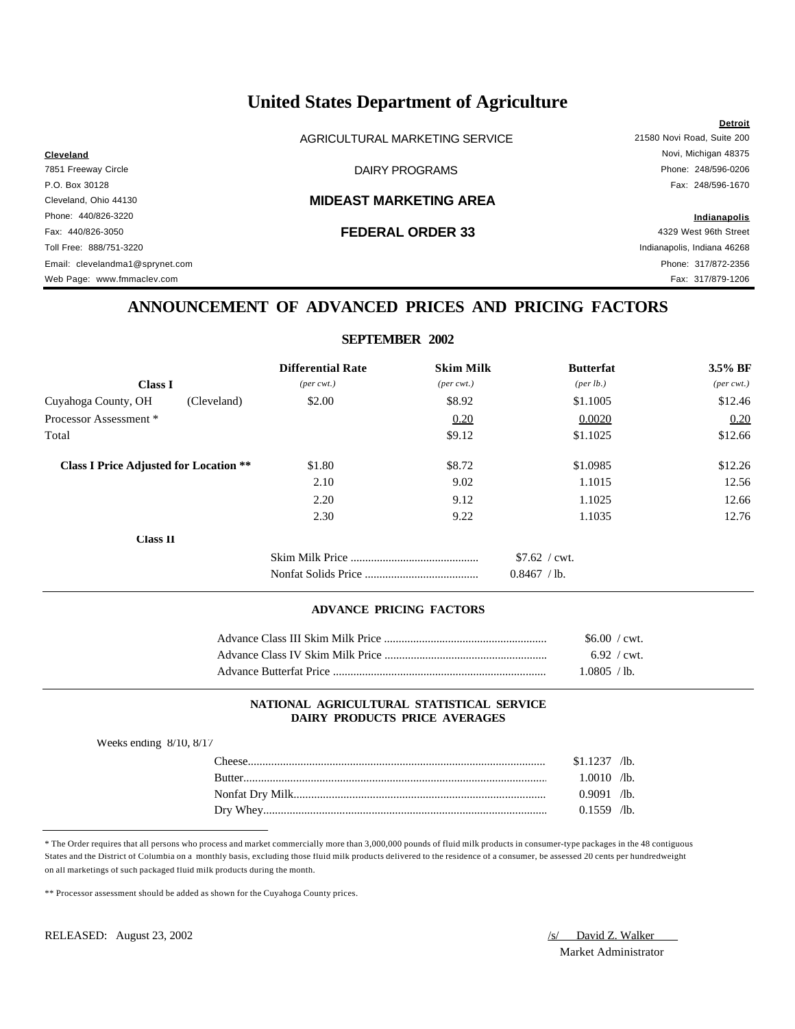AGRICULTURAL MARKETING SERVICE 21580 Novi Road, Suite 200

**Detroit Cleveland** Novi, Michigan 48375 7851 Freeway Circle DAIRY PROGRAMS Phone: 248/596-0206 P.O. Box 30128 Fax: 248/596-1670

Cleveland, Ohio 44130 **MIDEAST MARKETING AREA**

Phone: 440/826-3220 **Indianapolis** Fax: 440/826-3050 **FEDERAL ORDER 33** 4329 West 96th Street Toll Free: 888/751-3220 Indianapolis, Indiana 46268 Email: clevelandma1@sprynet.com Phone: 317/872-2356 Web Page: www.fmmaclev.com **Fax: 317/879-1206** 

## **ANNOUNCEMENT OF ADVANCED PRICES AND PRICING FACTORS**

### **SEPTEMBER 2002**

|                                               | <b>Differential Rate</b>    | <b>Skim Milk</b>            | <b>Butterfat</b>               | 3.5% BF             |
|-----------------------------------------------|-----------------------------|-----------------------------|--------------------------------|---------------------|
| <b>Class I</b>                                | $(\text{per} \text{ cwt.})$ | $(\text{per} \text{ cwt.})$ | ${\rm (per \, lb.)}$           | $(\text{per cwt.})$ |
| Cuyahoga County, OH                           | \$2.00<br>(Cleveland)       | \$8.92                      | \$1.1005                       | \$12.46             |
| Processor Assessment *                        |                             | 0.20                        | 0.0020                         | 0.20                |
| Total                                         |                             | \$9.12                      | \$1.1025                       | \$12.66             |
| <b>Class I Price Adjusted for Location **</b> | \$1.80                      | \$8.72                      | \$1.0985                       | \$12.26             |
|                                               | 2.10                        | 9.02                        | 1.1015                         | 12.56               |
|                                               | 2.20                        | 9.12                        | 1.1025                         | 12.66               |
|                                               | 2.30                        | 9.22                        | 1.1035                         | 12.76               |
| <b>Class 11</b>                               |                             |                             |                                |                     |
|                                               |                             |                             | $$7.62$ / cwt.<br>0.8467 / lb. |                     |

### **ADVANCE PRICING FACTORS**

| $$6.00 / \text{cwt}$ . |
|------------------------|
| $6.92 / \text{cwt}$ .  |
| L0805 / lb.            |

### **NATIONAL AGRICULTURAL STATISTICAL SERVICE DAIRY PRODUCTS PRICE AVERAGES**

| Weeks ending $8/10$ , $8/17$ |  |
|------------------------------|--|
|------------------------------|--|

| 'heese        | 1237   | $\sqrt{1}$ b. |
|---------------|--------|---------------|
| <b>Rutter</b> | .0010  | $\sqrt{1}$ b. |
|               | 0.9091 | $\sqrt{1}$ b. |
| Whey<br>Drv   | ገ 1559 | $\sqrt{1}b$ . |

\* The Order requires that all persons who process and market commercially more than 3,000,000 pounds of fluid milk products in consumer-type packages in the 48 contiguous States and the District of Columbia on a monthly basis, excluding those fluid milk products delivered to the residence of a consumer, be assessed 20 cents per hundredweight on all marketings of such packaged fluid milk products during the month.

\*\* Processor assessment should be added as shown for the Cuyahoga County prices.

Market Administrator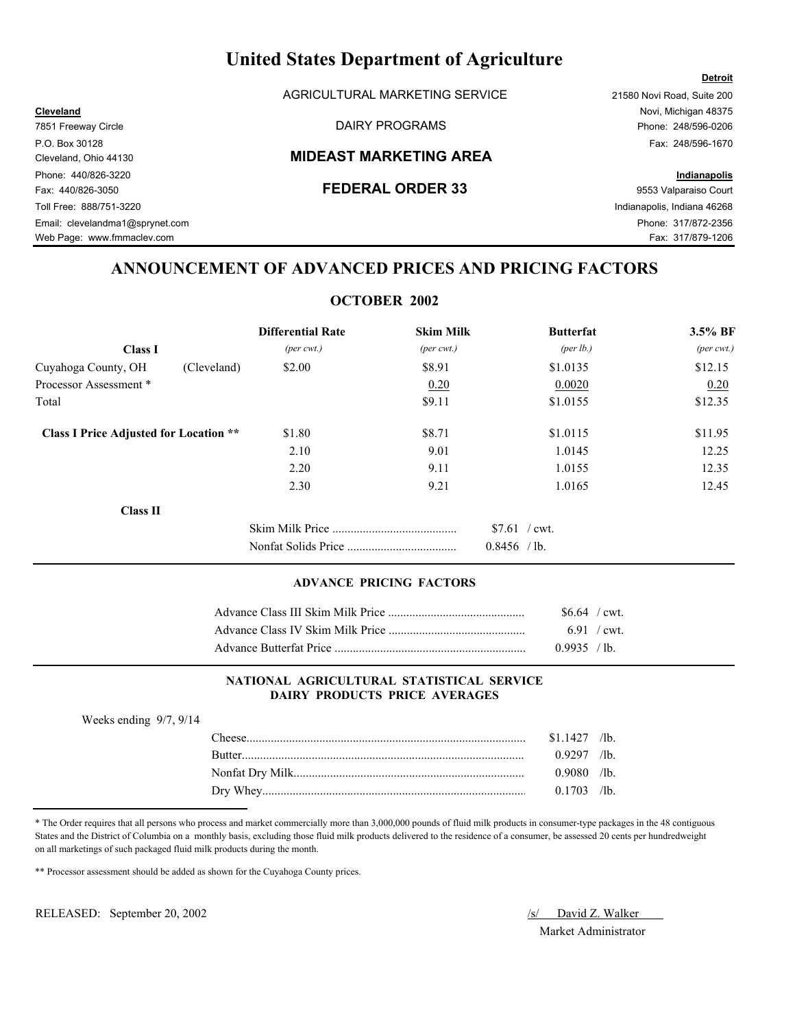AGRICULTURAL MARKETING SERVICE 21580 Novi Road, Suite 200

### Cleveland, Ohio 44130 **MIDEAST MARKETING AREA**

Web Page: www.fmmaclev.com example of the state of the state of the state of the state of the S17/879-1206

## **ANNOUNCEMENT OF ADVANCED PRICES AND PRICING FACTORS**

### **OCTOBER 2002**

|                                               | <b>Differential Rate</b>    | <b>Skim Milk</b>            | <b>Butterfat</b>   | 3.5% BF                     |
|-----------------------------------------------|-----------------------------|-----------------------------|--------------------|-----------------------------|
| <b>Class I</b>                                | $(\text{per} \text{ cwt.})$ | $(\text{per} \text{ cwt.})$ | $(\text{per lb.})$ | $(\text{per} \text{ cwt.})$ |
| (Cleveland)<br>Cuyahoga County, OH            | \$2.00                      | \$8.91                      | \$1,0135           | \$12.15                     |
| Processor Assessment *                        |                             | 0.20                        | 0.0020             | 0.20                        |
| Total                                         |                             | \$9.11                      | \$1.0155           | \$12.35                     |
| <b>Class I Price Adjusted for Location **</b> | \$1.80                      | \$8.71                      | \$1.0115           | \$11.95                     |
|                                               | 2.10                        | 9.01                        | 1.0145             | 12.25                       |
|                                               | 2.20                        | 9.11                        | 1.0155             | 12.35                       |
|                                               | 2.30                        | 9.21                        | 1.0165             | 12.45                       |
| <b>Class II</b>                               |                             |                             |                    |                             |
|                                               |                             |                             | $$7.61$ / cwt.     |                             |
|                                               |                             |                             | $0.8456$ /lb.      |                             |

### **ADVANCE PRICING FACTORS**

| $$6.64$ / cwt. |  |
|----------------|--|
| $6.91$ / cwt.  |  |
| $0.9935$ /lb   |  |

### **NATIONAL AGRICULTURAL STATISTICAL SERVICE DAIRY PRODUCTS PRICE AVERAGES**

| Weeks ending $9/7$ , $9/14$ |                |  |
|-----------------------------|----------------|--|
|                             | $$1\,1427$ /lb |  |
|                             | $0.9297$ /lb   |  |
|                             | $0.9080$ /lb   |  |
|                             | $0.1703$ /lb.  |  |

\* The Order requires that all persons who process and market commercially more than 3,000,000 pounds of fluid milk products in consumer-type packages in the 48 contiguous States and the District of Columbia on a monthly basis, excluding those fluid milk products delivered to the residence of a consumer, be assessed 20 cents per hundredweight on all marketings of such packaged fluid milk products during the month.

\*\* Processor assessment should be added as shown for the Cuyahoga County prices.

RELEASED: September 20, 2002 /s/ David Z. Walker

Market Administrator

7851 Freeway Circle **Example 248/596-0206** DAIRY PROGRAMS **Phone: 248/596-0206** P.O. Box 30128 Fax: 248/596-1670 Phone: 440/826-3220 **Indianapolis** Fax: 440/826-3050 **FEDERAL ORDER 33** 9553 Valparaiso Court Toll Free: 888/751-3220 Indianapolis, Indiana 46268 Email: clevelandma1@sprynet.com Phone: 317/872-2356

**Detroit**

**Cleveland** Novi, Michigan 48375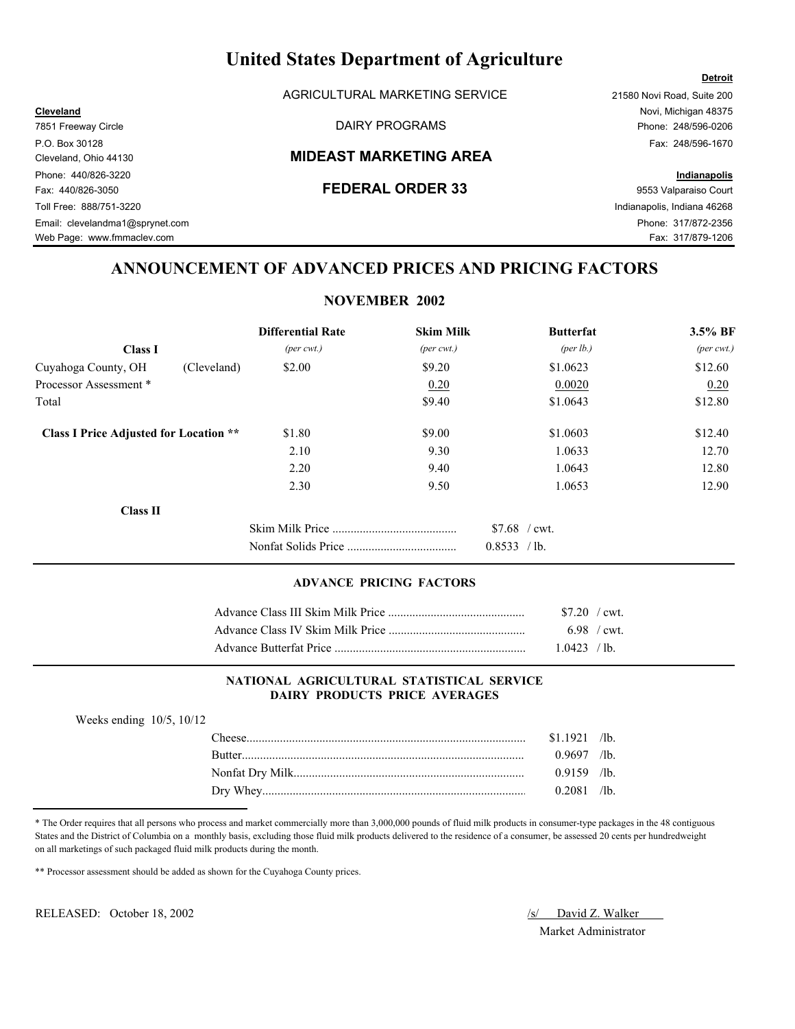AGRICULTURAL MARKETING SERVICE 21580 Novi Road, Suite 200

### Cleveland, Ohio 44130 **MIDEAST MARKETING AREA**

7851 Freeway Circle **Example 248/596-0206** DAIRY PROGRAMS **Phone: 248/596-0206** P.O. Box 30128 Fax: 248/596-1670

**Detroit**

Web Page: www.fmmaclev.com example of the state of the state of the state of the state of the S17/879-1206

## **ANNOUNCEMENT OF ADVANCED PRICES AND PRICING FACTORS**

### **NOVEMBER 2002**

|                                               | <b>Differential Rate</b>    | <b>Skim Milk</b>            | <b>Butterfat</b>  | 3.5% BF                     |
|-----------------------------------------------|-----------------------------|-----------------------------|-------------------|-----------------------------|
| <b>Class I</b>                                | $(\text{per} \text{ cwt.})$ | $(\text{per} \text{ cwt.})$ | (per $lb.$ )      | $(\text{per} \text{ cwt.})$ |
| (Cleveland)<br>Cuyahoga County, OH            | \$2.00                      | \$9.20                      | \$1,0623          | \$12.60                     |
| Processor Assessment *                        |                             | 0.20                        | 0.0020            | 0.20                        |
| Total                                         |                             | \$9.40                      | \$1.0643          | \$12.80                     |
| <b>Class I Price Adjusted for Location **</b> | \$1.80                      | \$9.00                      | \$1,0603          | \$12.40                     |
|                                               | 2.10                        | 9.30                        | 1.0633            | 12.70                       |
|                                               | 2.20                        | 9.40                        | 1.0643            | 12.80                       |
|                                               | 2.30                        | 9.50                        | 1.0653            | 12.90                       |
| <b>Class II</b>                               |                             |                             |                   |                             |
|                                               |                             |                             | $$7.68$ / cwt.    |                             |
|                                               |                             |                             | 0.8533<br>$/$ lb. |                             |

### **ADVANCE PRICING FACTORS**

| $$7.20$ / cwt. |  |
|----------------|--|
| 6.98 / cwt.    |  |
| 1.0423 / h     |  |

### **NATIONAL AGRICULTURAL STATISTICAL SERVICE DAIRY PRODUCTS PRICE AVERAGES**

| Weeks ending $10/5$ , $10/12$ |                |  |
|-------------------------------|----------------|--|
|                               | $$1.1921$ /lb. |  |
|                               | $0.9697$ /lb.  |  |
|                               | $0.9159$ /lb   |  |
|                               | $0.2081$ /lb.  |  |

\* The Order requires that all persons who process and market commercially more than 3,000,000 pounds of fluid milk products in consumer-type packages in the 48 contiguous States and the District of Columbia on a monthly basis, excluding those fluid milk products delivered to the residence of a consumer, be assessed 20 cents per hundredweight on all marketings of such packaged fluid milk products during the month.

\*\* Processor assessment should be added as shown for the Cuyahoga County prices.

RELEASED: October 18, 2002 *S/ David Z. Walker* 

Market Administrator

Phone: 440/826-3220 **Indianapolis** Fax: 440/826-3050 **FEDERAL ORDER 33** 9553 Valparaiso Court Toll Free: 888/751-3220 Indianapolis, Indiana 46268 Email: clevelandma1@sprynet.com Phone: 317/872-2356

**Cleveland** Novi, Michigan 48375